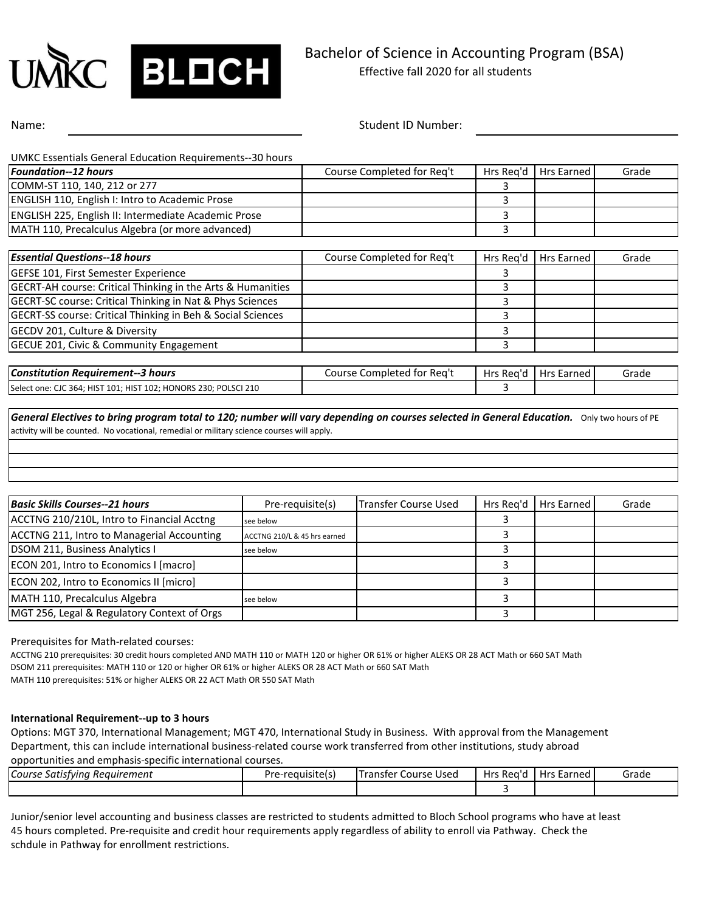

Name: Student ID Number:

| <b>UMKC Essentials General Education Requirements--30 hours</b><br><b>Foundation--12 hours</b> | Course Completed for Req't | Hrs Reg'd | <b>Hrs Earned</b> | Grade |
|------------------------------------------------------------------------------------------------|----------------------------|-----------|-------------------|-------|
|                                                                                                |                            |           |                   |       |
| COMM-ST 110, 140, 212 or 277                                                                   |                            |           |                   |       |
| <b>ENGLISH 110, English I: Intro to Academic Prose</b>                                         |                            | 3         |                   |       |
| ENGLISH 225, English II: Intermediate Academic Prose                                           |                            | 3         |                   |       |
| MATH 110, Precalculus Algebra (or more advanced)                                               |                            | 3         |                   |       |
| <b>Essential Questions--18 hours</b>                                                           | Course Completed for Req't | Hrs Reg'd | Hrs Earned        | Grade |
| <b>GEFSE 101, First Semester Experience</b>                                                    |                            | 3         |                   |       |
| GECRT-AH course: Critical Thinking in the Arts & Humanities                                    |                            |           |                   |       |
| <b>GECRT-SC course: Critical Thinking in Nat &amp; Phys Sciences</b>                           |                            | 3         |                   |       |
| GECRT-SS course: Critical Thinking in Beh & Social Sciences                                    |                            | 3         |                   |       |
| GECDV 201, Culture & Diversity                                                                 |                            | 3         |                   |       |
| GECUE 201, Civic & Community Engagement                                                        |                            | 3         |                   |       |
| <b>Constitution Requirement--3 hours</b>                                                       | Course Completed for Reg't | Hrs Reg'd | Hrs Earned        | Grade |
| Select one: CJC 364; HIST 101; HIST 102; HONORS 230; POLSCI 210                                |                            | 3         |                   |       |

activity will be counted. No vocational, remedial or military science courses will apply.

| <b>Basic Skills Courses--21 hours</b>       | Pre-requisite(s)             | Transfer Course Used | Hrs Rea'd | Hrs Earned | Grade |
|---------------------------------------------|------------------------------|----------------------|-----------|------------|-------|
| ACCTNG 210/210L, Intro to Financial Acctng  | see below                    |                      |           |            |       |
| ACCTNG 211, Intro to Managerial Accounting  | ACCTNG 210/L & 45 hrs earned |                      |           |            |       |
| DSOM 211, Business Analytics I              | see below                    |                      |           |            |       |
| ECON 201, Intro to Economics I [macro]      |                              |                      |           |            |       |
| ECON 202, Intro to Economics II [micro]     |                              |                      |           |            |       |
| MATH 110, Precalculus Algebra               | see below                    |                      |           |            |       |
| MGT 256, Legal & Regulatory Context of Orgs |                              |                      |           |            |       |

Prerequisites for Math-related courses:

ACCTNG 210 prerequisites: 30 credit hours completed AND MATH 110 or MATH 120 or higher OR 61% or higher ALEKS OR 28 ACT Math or 660 SAT Math DSOM 211 prerequisites: MATH 110 or 120 or higher OR 61% or higher ALEKS OR 28 ACT Math or 660 SAT Math MATH 110 prerequisites: 51% or higher ALEKS OR 22 ACT Math OR 550 SAT Math

## **International Requirement--up to 3 hours**

Options: MGT 370, International Management; MGT 470, International Study in Business. With approval from the Management Department, this can include international business-related course work transferred from other institutions, study abroad

opportunities and emphasis-specific international courses.

| า Reauirement<br>Course Satisfying | .<br>-requisitels)<br>Dra.<br>$\sim$ | <b>Transfer</b><br>: Used<br>Course | Hrs Reg'r | <b>Live</b><br>Earned<br><b>TIL</b> S | Grade |
|------------------------------------|--------------------------------------|-------------------------------------|-----------|---------------------------------------|-------|
|                                    |                                      |                                     |           |                                       |       |

Junior/senior level accounting and business classes are restricted to students admitted to Bloch School programs who have at least 45 hours completed. Pre-requisite and credit hour requirements apply regardless of ability to enroll via Pathway. Check the schdule in Pathway for enrollment restrictions.